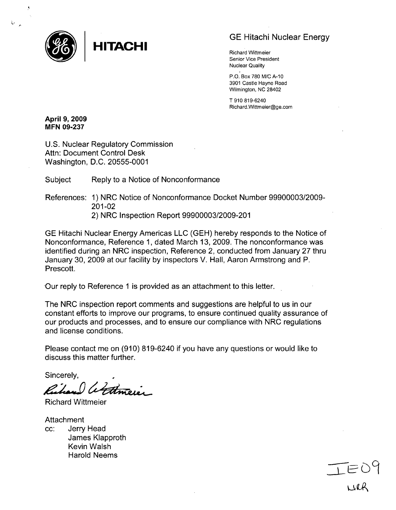

# GE Hitachi Nuclear Energy

Richard Wittmeier Senior Vice President Nuclear Quality

P.O. Box 780 M/C **A-10** 3901 Castle Hayne Road Wilmington, NC 28402

T 910 819-6240 Richard.Wittmeier@ge.com

April 9, 2009 MFN **09-237**

U.S. Nuclear Regulatory Commission Attn: Document Control Desk Washington, D.C. 20555-0001

Subject Reply to a Notice of Nonconformance

References: 1) NRC Notice of Nonconformance Docket Number 99900003/2009- 201-02 2) NRC Inspection Report 99900003/2009-201

GE Hitachi Nuclear Energy Americas LLC (GEH) hereby responds to the Notice of Nonconformance, Reference 1, dated March 13, 2009. The nonconformance was identified during an NRC inspection, Reference 2, conducted from January 27 thru January 30, 2009 at our facility by inspectors V. Hall, Aaron Armstrong and P. Prescott.

-Our reply to Reference **1** is provided as an attachment to this letter.

The NRC inspection report comments and suggestions are helpful to us in our constant efforts to improve our programs, to ensure continued quality assurance of our products and processes, and to ensure our compliance with NRC regulations and license conditions.

Please contact me on (910) 819-6240 if you have any questions or would like to discuss this matter further.

Sincerely,

Richard attricier

Richard Wittmeier

**Attachment** cc: Jerry Head James Klapproth Kevin Walsh Harold Neems

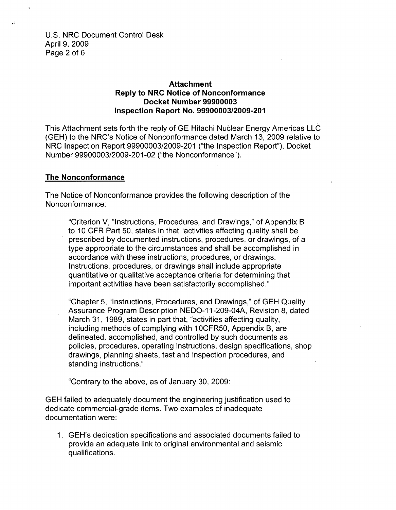U.S. NRC Document Control Desk April 9, 2009 Page 2 of 6

 $\mathbf{L}^{\prime}$ 

## Attachment Reply to NRC Notice of Nonconformance Docket Number **99900003** Inspection Report No. **99900003/2009-201**

This Attachment sets forth the reply of GE Hitachi Nuclear Energy Americas LLC (GEH) to the NRC's Notice of Nonconformance dated March 13, 2009 relative to NRC Inspection Report 99900003/2009-201 ("the Inspection Report"), Docket Number 99900003/2009-201-02 ("the Nonconformance").

#### The Nonconformance

The Notice of Nonconformance provides the following description of the Nonconformance:

"Criterion V, "Instructions, Procedures, and Drawings," of Appendix B to 10 CFR Part 50, states in that "activities affecting quality shall be prescribed by documented instructions, procedures, or drawings, of a type appropriate to the circumstances and shall be accomplished in accordance with these instructions, procedures, or drawings. Instructions, procedures, or drawings shall include appropriate quantitative or qualitative acceptance criteria for determining that important activities have been satisfactorily accomplished."

"Chapter 5, "Instructions, Procedures, and Drawings," of GEH Quality Assurance Program Description NEDO-11-209-04A, Revision 8, dated March 31, 1989, states in part that, "activities affecting quality, including methods of complying with 10CFR50, Appendix B, are delineated, accomplished, and controlled by such documents as policies, procedures, operating instructions, design specifications, shop drawings, planning sheets, test and inspection procedures, and standing instructions."

"Contrary to the above, as of January 30, 2009:

GEH failed to adequately document the engineering justification used to dedicate commercial-grade items. Two examples of inadequate documentation were:

1. GEH's dedication specifications and associated documents failed to provide an adequate link to original environmental and seismic qualifications.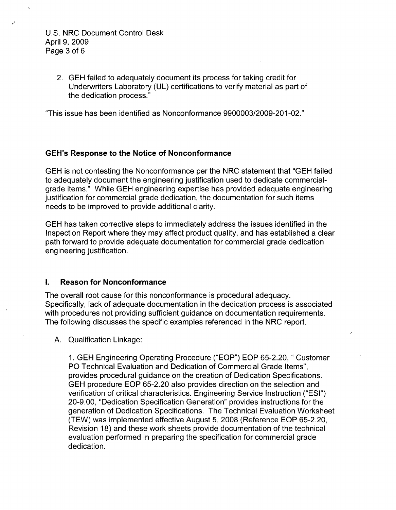## U.S. NRC Document Control Desk April 9, 2009 Page 3 of **6**

2. GEH failed to adequately document its process for taking credit for Underwriters Laboratory (UL) certifications to verify material as part of the dedication process."

"This issue has been identified as Nonconformance 9900003/2009-201-02."

## GEH's Response to the Notice of Nonconformance

**GEH** is not contesting the Nonconformance per the NRC statement that "GEH failed to adequately document the engineering justification used to dedicate commercialgrade items." While GEH engineering expertise has provided adequate engineering justification for commercial grade dedication, the documentation for such items needs to be improved to provide additional clarity.

GEH has taken corrective steps to immediately address the issues identified in the Inspection Report where they may affect product quality, and has established a clear path forward to provide adequate documentation for commercial grade dedication engineering justification.

#### **I.** Reason for Nonconformance

The overall root cause for this nonconformance is procedural adequacy. Specifically, lack of adequate documentation in the dedication process is associated with procedures not providing sufficient guidance on documentation requirements. The following discusses the specific examples referenced in the NRC report.

A. Qualification Linkage:

1. GEH Engineering Operating Procedure ("EOP") EOP 65-2.20, " Customer PO Technical Evaluation and Dedication of Commercial Grade Items", provides procedural guidance on the creation of Dedication Specifications. GEH procedure EOP 65-2.20 also provides direction on the selection and verification of critical characteristics. Engineering Service Instruction ("ESI") 20-9.00, "Dedication Specification Generation" provides instructions for the generation of Dedication Specifications. The Technical Evaluation Worksheet (TEW) was implemented effective August 5, 2008 (Reference EOP 65-2.20, Revision 18) and these work sheets provide documentation of the technical evaluation performed in preparing the specification for commercial grade dedication.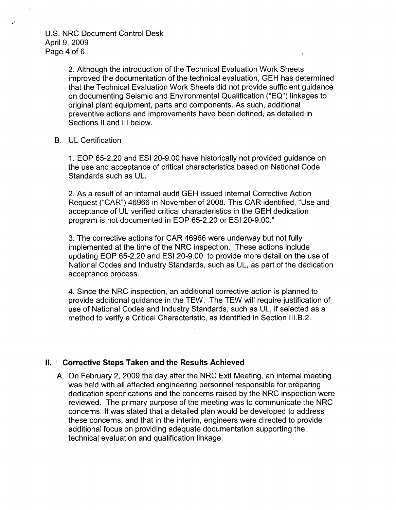U.S. NRC Document Control Desk April 9, 2009 Page 4 of 6

 $\mathbf{v}^t$ 

2. Although the introduction of the Technical Evaluation Work Sheets improved the documentation of the technical evaluation, GEH has determined that the Technical Evaluation Work Sheets did not provide sufficient guidance on documenting Seismic and Environmental Qualification ("EQ") linkages to original plant equipment, parts and components. As such, additional preventive actions and improvements have been defined, as detailed in Sections II and **III** below.

#### B. UL Certification

1. EOP 65-2.20 and ESI 20-9.00 have historically not provided guidance on the use and acceptance of critical characteristics based on National Code Standards such as UL.

2. As a result of an internal audit GEH issued internal Corrective Action Request ("CAR") 46966 in November of 2008. This CAR identified, "Use and acceptance of UL verified critical characteristics in the GEH dedication program is not documented in EOP 65-2.20 or ESI 20-9.00."

3. The corrective actions for CAR 46966 were underway but not fully implemented at the time of the NRC inspection. These actions include updating EOP 65-2.20 and ESI 20-9.00 to provide more detail on the use of National Codes and Industry Standards, such as UL, as part of the dedication acceptance process.

4. Since the NRC inspection, an additional corrective action is planned to provide additional guidance in the TEW. The TEW will require justification of use of National Codes and Industry Standards, such as UL, if selected as a method to verify a Critical Characteristic, as identified in Section III.B.2.

### **II.** Corrective Steps Taken and the Results Achieved

**A.** On February 2, **2009** the day after the NRC Exit Meeting, an internal meeting was held with all affected engineering personnel responsible for preparing dedication specifications and the concerns raised by the NRC inspection were reviewed. The primary purpose of the meeting was to communicate the NRC concerns. It was stated that a detailed plan would be developed to address these concerns, and that in the interim, engineers were directed to provide additional focus on providing adequate documentation supporting the technical evaluation and qualification linkage.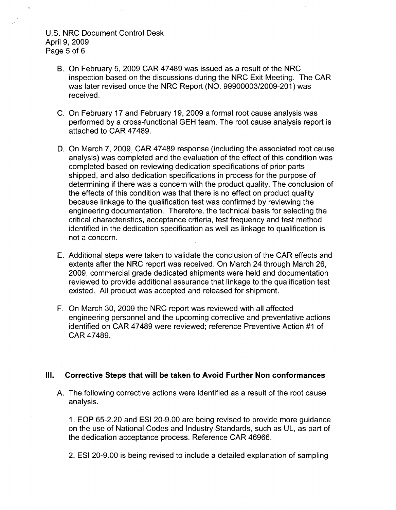## U.S. NRC Document Control Desk April 9, 2009 Page 5 of **6**

- B. On February 5, 2009 CAR 47489 was issued as a result of the NRC inspection based on the discussions during the NRC Exit Meeting. The CAR was later revised once the NRC Report (NO. 99900003/2009-201) was received.
- C. On February 17 and February 19, 2009 a formal root cause analysis was performed by a cross-functional GEH team. The root cause analysis report is attached to CAR 47489.
- D. On March 7, 2009, CAR 47489 response (including the associated root cause analysis) was completed and the evaluation of the effect of this condition was completed based on reviewing dedication specifications of prior parts shipped, and also dedication specifications in process for the purpose of determining if there was a concern with the product quality. The conclusion of the effects of this condition was that there is no effect on product quality because linkage to the qualification test was confirmed by reviewing the engineering documentation. Therefore, the technical basis for selecting the critical characteristics, acceptance criteria, test frequency and test method identified in the dedication specification as well as linkage to qualification is not a concern.
- E. Additional steps were taken to validate the conclusion of the CAR effects and extents after the NRC report was received. On March 24 through March 26, 2009, commercial grade dedicated shipments were held and documentation reviewed to provide additional assurance that linkage to the qualification test existed. All product was accepted and released for shipment.
- F. On March 30, 2009 the NRC report was reviewed with all affected engineering personnel and the upcoming corrective and preventative actions identified on CAR 47489 were reviewed; reference Preventive Action #1 of CAR 47489.

## **Ill.** Corrective Steps that will be taken to Avoid Further Non conformances

**A.** The following corrective actions were identified as a result of the root cause analysis.

1. EOP 65-2.20 and ESI 20-9.00 are being revised to provide more guidance on the use of National Codes and Industry Standards, such as UL, as part of the dedication acceptance process. Reference CAR 46966.

2. ESI 20-9.00 is being revised to include a detailed explanation of sampling